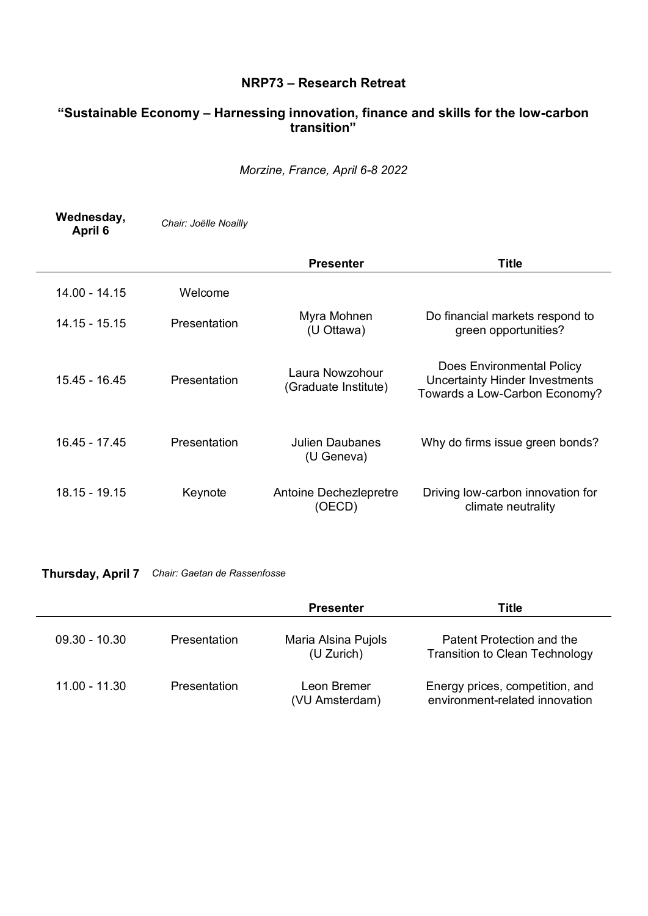## **NRP73 ± Research Retreat**

## **³Sustainable Econom\ ± Harnessing innovation, finance and skills for the low-carbon transition´**

*Morzine, France, April 6-8 2022*

| Wednesday,<br>April 6 | Chair: Joëlle Noailly |                                         |                                                                                              |
|-----------------------|-----------------------|-----------------------------------------|----------------------------------------------------------------------------------------------|
|                       |                       | <b>Presenter</b>                        | Title                                                                                        |
| 14.00 - 14.15         | Welcome               |                                         |                                                                                              |
| 14.15 - 15.15         | Presentation          | Myra Mohnen<br>(U Ottawa)               | Do financial markets respond to<br>green opportunities?                                      |
| 15.45 - 16.45         | Presentation          | Laura Nowzohour<br>(Graduate Institute) | Does Environmental Policy<br>Uncertainty Hinder Investments<br>Towards a Low-Carbon Economy? |
| 16.45 - 17.45         | Presentation          | Julien Daubanes<br>(U Geneva)           | Why do firms issue green bonds?                                                              |
| $18.15 - 19.15$       | Keynote               | Antoine Dechezlepretre<br>(OECD)        | Driving low-carbon innovation for<br>climate neutrality                                      |

**Thursday, April 7** *Chair: Gaetan de Rassenfosse*

|                 |                     | <b>Presenter</b>                  | Title                                                              |
|-----------------|---------------------|-----------------------------------|--------------------------------------------------------------------|
| $09.30 - 10.30$ | <b>Presentation</b> | Maria Alsina Pujols<br>(U Zurich) | Patent Protection and the<br><b>Transition to Clean Technology</b> |
| $11.00 - 11.30$ | <b>Presentation</b> | Leon Bremer<br>(VU Amsterdam)     | Energy prices, competition, and<br>environment-related innovation  |